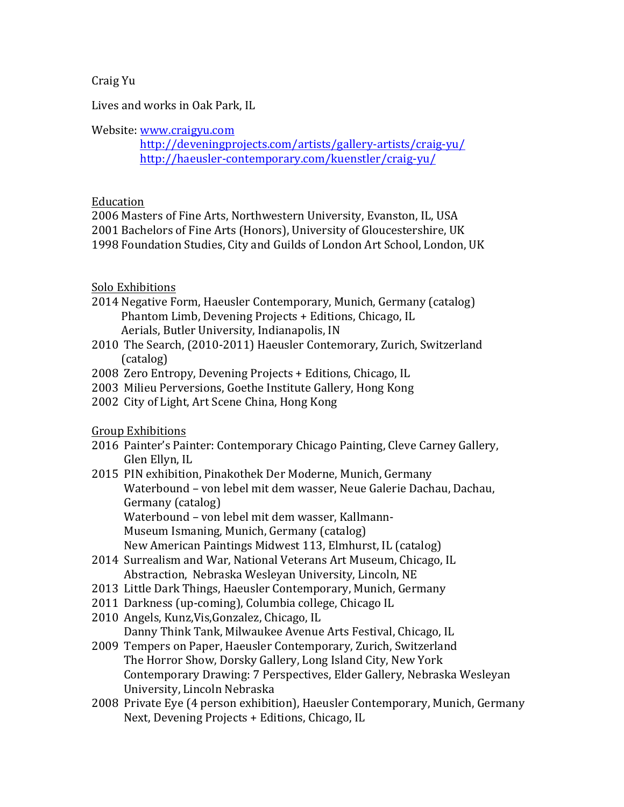Craig Yu

Lives and works in Oak Park, IL

# Website: www.craigyu.com

 http://deveningprojects.com/artists/gallery-artists/craig-yu/ http://haeusler-contemporary.com/kuenstler/craig-yu/

# Education

2006 Masters of Fine Arts, Northwestern University, Evanston, IL, USA 2001 Bachelors of Fine Arts (Honors), University of Gloucestershire, UK 1998 Foundation Studies, City and Guilds of London Art School, London, UK

# Solo Exhibitions

- 2014 Negative Form, Haeusler Contemporary, Munich, Germany (catalog) Phantom Limb, Devening Projects + Editions, Chicago, IL Aerials, Butler University, Indianapolis, IN
- 2010 The Search, (2010-2011) Haeusler Contemorary, Zurich, Switzerland (catalog)
- 2008 Zero Entropy, Devening Projects + Editions, Chicago, IL
- 2003 Milieu Perversions, Goethe Institute Gallery, Hong Kong
- 2002 City of Light, Art Scene China, Hong Kong

**Group Exhibitions** 

- 2016 Painter's Painter: Contemporary Chicago Painting, Cleve Carney Gallery, Glen Ellyn, IL
- 2015 PIN exhibition, Pinakothek Der Moderne, Munich, Germany Waterbound - von lebel mit dem wasser, Neue Galerie Dachau, Dachau, Germany (catalog) Waterbound - von lebel mit dem wasser, Kallmann-

Museum Ismaning, Munich, Germany (catalog)

New American Paintings Midwest 113, Elmhurst, IL (catalog)

- 2014 Surrealism and War, National Veterans Art Museum, Chicago, IL Abstraction, Nebraska Wesleyan University, Lincoln, NE
- 2013 Little Dark Things, Haeusler Contemporary, Munich, Germany
- 2011 Darkness (up-coming), Columbia college, Chicago IL
- 2010 Angels, Kunz, Vis, Gonzalez, Chicago, IL

Danny Think Tank, Milwaukee Avenue Arts Festival, Chicago, IL

- 2009 Tempers on Paper, Haeusler Contemporary, Zurich, Switzerland The Horror Show, Dorsky Gallery, Long Island City, New York Contemporary Drawing: 7 Perspectives, Elder Gallery, Nebraska Wesleyan University, Lincoln Nebraska
- 2008 Private Eye (4 person exhibition), Haeusler Contemporary, Munich, Germany Next, Devening Projects + Editions, Chicago, IL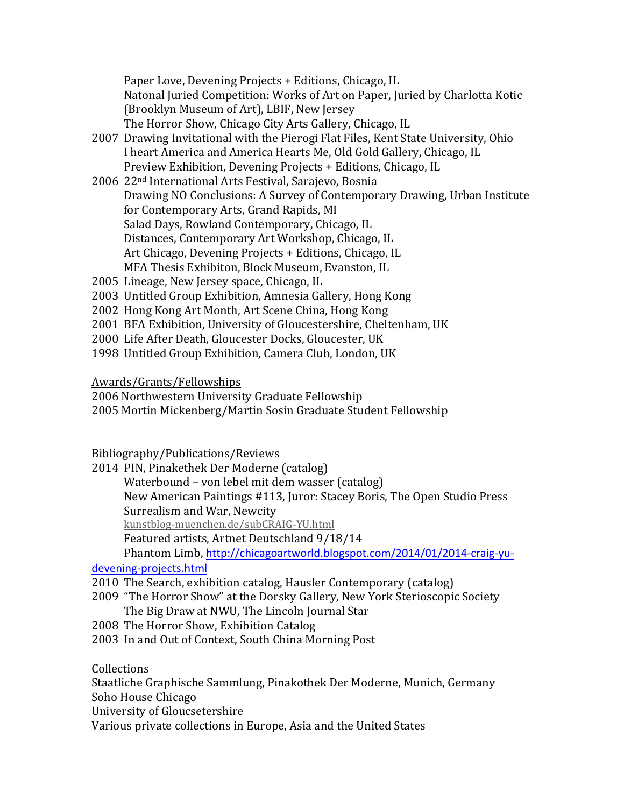Paper Love, Devening Projects + Editions, Chicago, IL Natonal Juried Competition: Works of Art on Paper, Juried by Charlotta Kotic (Brooklyn Museum of Art), LBIF, New Jersey The Horror Show, Chicago City Arts Gallery, Chicago, IL

- 2007 Drawing Invitational with the Pierogi Flat Files, Kent State University, Ohio I heart America and America Hearts Me, Old Gold Gallery, Chicago, IL Preview Exhibition, Devening Projects + Editions, Chicago, IL
- 2006 22<sup>nd</sup> International Arts Festival, Sarajevo, Bosnia Drawing NO Conclusions: A Survey of Contemporary Drawing, Urban Institute for Contemporary Arts, Grand Rapids, MI Salad Days, Rowland Contemporary, Chicago, IL Distances, Contemporary Art Workshop, Chicago, IL Art Chicago, Devening Projects + Editions, Chicago, IL MFA Thesis Exhibiton, Block Museum, Evanston, IL
- 2005 Lineage, New Jersey space, Chicago, IL
- 2003 Untitled Group Exhibition, Amnesia Gallery, Hong Kong
- 2002 Hong Kong Art Month, Art Scene China, Hong Kong
- 2001 BFA Exhibition, University of Gloucestershire, Cheltenham, UK
- 2000 Life After Death, Gloucester Docks, Gloucester, UK
- 1998 Untitled Group Exhibition, Camera Club, London, UK

# Awards/Grants/Fellowships

2006 Northwestern University Graduate Fellowship

2005 Mortin Mickenberg/Martin Sosin Graduate Student Fellowship

Bibliography/Publications/Reviews

2014 PIN, Pinakethek Der Moderne (catalog)

Waterbound - von lebel mit dem wasser (catalog) New American Paintings #113, Juror: Stacey Boris, The Open Studio Press Surrealism and War, Newcity kunstblog-muenchen.de/subCRAIG-YU.html

Featured artists, Artnet Deutschland 9/18/14

Phantom Limb, http://chicagoartworld.blogspot.com/2014/01/2014-craig-yu-

# devening-projects.html

- 2010 The Search, exhibition catalog, Hausler Contemporary (catalog)
- 2009 "The Horror Show" at the Dorsky Gallery, New York Sterioscopic Society The Big Draw at NWU, The Lincoln Journal Star
- 2008 The Horror Show, Exhibition Catalog
- 2003 In and Out of Context, South China Morning Post

Collections

Staatliche Graphische Sammlung, Pinakothek Der Moderne, Munich, Germany

- Soho House Chicago
- University of Gloucsetershire

Various private collections in Europe, Asia and the United States